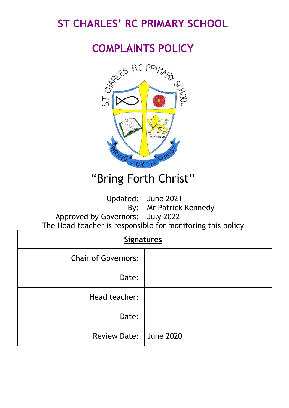# **ST CHARLES' RC PRIMARY SCHOOL**

# **COMPLAINTS POLICY**



# "Bring Forth Christ"

Updated: June 2021

By: Mr Patrick Kennedy

Approved by Governors: July 2022 The Head teacher is responsible for monitoring this policy

# **Signatures** Chair of Governors: Date: Head teacher: Date: Review Date: June 2020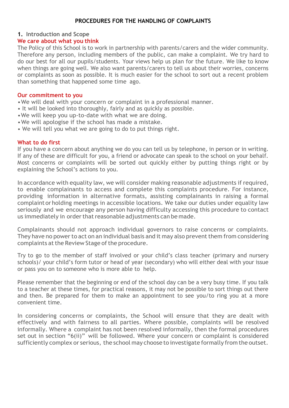#### **PROCEDURES FOR THE HANDLING OF COMPLAINTS**

# **1. Introduction and Scope**

#### **We care about what you think**

The Policy of this School is to work in partnership with parents/carers and the wider community. Therefore any person, including members of the public, can make a complaint. We try hard to do our best for all our pupils/students. Your views help us plan for the future. We like to know when things are going well. We also want parents/carers to tell us about their worries, concerns or complaints as soon as possible. It is much easier for the school to sort out a recent problem than something that happened some time ago.

#### **Our commitment to you**

•We will deal with your concern or complaint in a professional manner.

- It will be looked into thoroughly, fairly and as quickly as possible.
- •We will keep you up-to-date with what we are doing.
- •We will apologise if the school has made a mistake.
- We will tell you what we are going to do to put things right.

#### **What to do first**

If you have a concern about anything we do you can tell us by telephone, in person or in writing. If any of these are difficult for you, a friend or advocate can speak to the school on your behalf. Most concerns or complaints will be sorted out quickly either by putting things right or by explaining the School's actions to you.

In accordance with equality law, we will consider making reasonable adjustments if required, to enable complainants to access and complete this complaints procedure. For instance, providing information in alternative formats, assisting complainants in raising a formal complaint or holding meetings in accessible locations. We take our duties under equality law seriously and we encourage any person having difficulty accessing this procedure to contact us immediately in order that reasonable adjustments can be made.

Complainants should not approach individual governors to raise concerns or complaints. They have no power to act on an individual basis and it may also prevent them from considering complaints at the Review Stage of the procedure.

Try to go to the member of staff involved or your child's class teacher (primary and nursery schools)/ your child's form tutor or head of year (secondary) who will either deal with your issue or pass you on to someone who is more able to help.

Please remember that the beginning or end of the school day can be a very busy time. If you talk to a teacher at these times, for practical reasons, it may not be possible to sort things out there and then. Be prepared for them to make an appointment to see you/to ring you at a more convenient time.

In considering concerns or complaints, the School will ensure that they are dealt with effectively and with fairness to all parties. Where possible, complaints will be resolved informally. Where a complaint has not been resolved informally, then the formal procedures set out in section "6(ii)" will be followed. Where your concern or complaint is considered sufficiently complex or serious, the school may choose to investigate formally from the outset.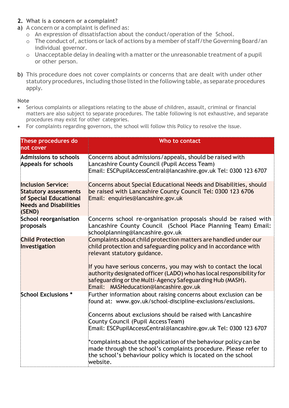- **2. What is a concern or a complaint?**
- a) A concern or a complaint is defined as:
	- o An expression of dissatisfaction about the conduct/operation of the School.
	- o The conduct of, actions orlack of actions by a member of staff/the Governing Board/an individual governor.
	- o Unacceptable delay in dealing with a matter orthe unreasonable treatment of a pupil or other person.
- b) This procedure does not cover complaints or concerns that are dealt with under other statutory procedures, including those listed in the following table, as separate procedures apply.

**Note**

- Serious complaints or allegations relating to the abuse of children, assault, criminal or financial matters are also subject to separate procedures. The table following is not exhaustive, and separate procedures may exist for other categories.
- For complaints regarding governors, the school will follow this Policy to resolve the issue.

| These procedures do<br>not cover                                                                                               | Who to contact                                                                                                                                                                                                                                                                                                                                                                                                                                                                                                                 |
|--------------------------------------------------------------------------------------------------------------------------------|--------------------------------------------------------------------------------------------------------------------------------------------------------------------------------------------------------------------------------------------------------------------------------------------------------------------------------------------------------------------------------------------------------------------------------------------------------------------------------------------------------------------------------|
| Admissions to schools<br><b>Appeals for schools</b>                                                                            | Concerns about admissions/appeals, should be raised with<br>Lancashire County Council (Pupil Access Team)<br>Email: ESCPupilAccessCentral@lancashire.gov.uk Tel: 0300 123 6707                                                                                                                                                                                                                                                                                                                                                 |
| <b>Inclusion Service:</b><br><b>Statutory assessments</b><br>of Special Educational<br><b>Needs and Disabilities</b><br>(SEND) | Concerns about Special Educational Needs and Disabilities, should<br>be raised with Lancashire County Council Tel: 0300 123 6706<br>Email: enquiries@lancashire.gov.uk                                                                                                                                                                                                                                                                                                                                                         |
| <b>School reorganisation</b><br>proposals                                                                                      | Concerns school re-organisation proposals should be raised with<br>Lancashire County Council (School Place Planning Team) Email:<br>schoolplanning@lancashire.gov.uk                                                                                                                                                                                                                                                                                                                                                           |
| <b>Child Protection</b><br>Investigation                                                                                       | Complaints about child protection matters are handled under our<br>child protection and safeguarding policy and in accordance with<br>relevant statutory guidance.<br>If you have serious concerns, you may wish to contact the local<br>authority designated officer (LADO) who has local responsibility for<br>safeguarding or the Multi-Agency Safeguarding Hub (MASH).<br>Email: MASHeducation@lancashire.gov.uk                                                                                                           |
| School Exclusions *                                                                                                            | Further information about raising concerns about exclusion can be<br>found at: www.gov.uk/school-discipline-exclusions/exclusions.<br>Concerns about exclusions should be raised with Lancashire<br>County Council (Pupil Access Team)<br>Email: ESCPupilAccessCentral@lancashire.gov.uk Tel: 0300 123 6707<br>*complaints about the application of the behaviour policy can be<br>made through the school's complaints procedure. Please refer to<br>the school's behaviour policy which is located on the school<br>website. |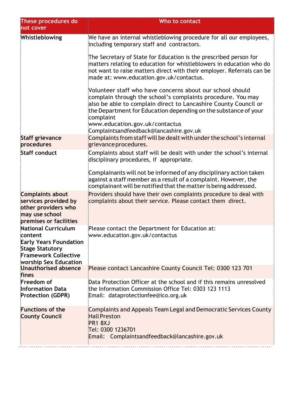| These procedures do<br>not cover                                                                                                                         | Who to contact                                                                                                                                                                                                                                                                                                |
|----------------------------------------------------------------------------------------------------------------------------------------------------------|---------------------------------------------------------------------------------------------------------------------------------------------------------------------------------------------------------------------------------------------------------------------------------------------------------------|
| Whistleblowing                                                                                                                                           | We have an internal whistleblowing procedure for all our employees,<br>including temporary staff and contractors.                                                                                                                                                                                             |
|                                                                                                                                                          | The Secretary of State for Education is the prescribed person for<br>matters relating to education for whistleblowers in education who do<br>not want to raise matters direct with their employer. Referrals can be<br>made at: www.education.gov.uk/contactus.                                               |
|                                                                                                                                                          | Volunteer staff who have concerns about our school should<br>complain through the school's complaints procedure. You may<br>also be able to complain direct to Lancashire County Council or<br>the Department for Education depending on the substance of your<br>complaint<br>www.education.gov.uk/contactus |
| <b>Staff grievance</b>                                                                                                                                   | Complaintsandfeedback@lancashire.gov.uk<br>Complaints from staff will be dealt with under the school's internal                                                                                                                                                                                               |
| procedures                                                                                                                                               | grievance procedures.                                                                                                                                                                                                                                                                                         |
| <b>Staff conduct</b>                                                                                                                                     | Complaints about staff will be dealt with under the school's internal<br>disciplinary procedures, if appropriate.                                                                                                                                                                                             |
|                                                                                                                                                          | Complainants will not be informed of any disciplinary action taken<br>against a staff member as a result of a complaint. However, the<br>complainant will be notified that the matter is being addressed.                                                                                                     |
| <b>Complaints about</b><br>services provided by<br>other providers who<br>may use school<br>premises or facilities                                       | Providers should have their own complaints procedure to deal with<br>complaints about their service. Please contact them direct.                                                                                                                                                                              |
| <b>National Curriculum</b><br>content<br><b>Early Years Foundation</b><br><b>Stage Statutory</b><br><b>Framework Collective</b><br>worship Sex Education | Please contact the Department for Education at:<br>www.education.gov.uk/contactus                                                                                                                                                                                                                             |
| Unauthorised absence<br>fines                                                                                                                            | Please contact Lancashire County Council Tel: 0300 123 701                                                                                                                                                                                                                                                    |
| Freedom of<br><b>Information Data</b><br><b>Protection (GDPR)</b>                                                                                        | Data Protection Officer at the school and if this remains unresolved<br>the Information Commission Office Tel: 0303 123 1113<br>Email: dataprotectionfee@ico.org.uk                                                                                                                                           |
| <b>Functions of the</b><br><b>County Council</b>                                                                                                         | Complaints and Appeals Team Legal and Democratic Services County<br><b>Hall Preston</b><br>PR1 8XJ<br>Tel: 0300 1236701<br>Email: Complaintsandfeedback@lancashire.gov.uk                                                                                                                                     |
|                                                                                                                                                          |                                                                                                                                                                                                                                                                                                               |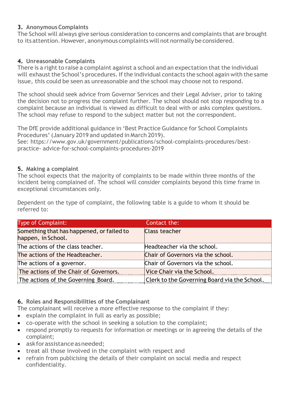# **3. AnonymousComplaints**

The School will always give serious consideration to concerns and complaints that are brought to its attention.However, anonymous complaints will not normally be considered.

# **4. Unreasonable Complaints**

There is a right to raise a complaint against a school and an expectation that the individual will exhaust the School's procedures. If the individual contacts the school again with the same issue, this could be seen as unreasonable and the school may choose not to respond.

The school should seek advice from Governor Services and their Legal Adviser, prior to taking the decision not to progress the complaint further. The school should not stop responding to a complaint because an individual is viewed as difficult to deal with or asks complex questions. The school may refuse to respond to the subject matter but not the correspondent.

The DfE provide additional guidance in 'Best Practice Guidance for School Complaints Procedures' (January 2019 and updated in March 2019).

See: [https://www.](http://www.gov.uk/government/publications/school-complaints-procedures/best-practice-)go[v.uk/government/publications/school-complaints-procedures/best](http://www.gov.uk/government/publications/school-complaints-procedures/best-practice-)[practice-](http://www.gov.uk/government/publications/school-complaints-procedures/best-practice-) advice-for-school-complaints-procedures-2019

# **5. Making a complaint**

The school expects that the majority of complaints to be made within three months of the incident being complained of. The school will consider complaints beyond this time frame in exceptional circumstances only.

Dependent on the type of complaint, the following table is a guide to whom it should be referred to:

| <b>Type of Complaint:</b>                                       | Contact the:                                        |
|-----------------------------------------------------------------|-----------------------------------------------------|
| Something that has happened, or failed to<br>happen, in School. | <b>Class teacher</b>                                |
| The actions of the class teacher.                               | Headteacher via the school.                         |
| The actions of the Headteacher.                                 | Chair of Governors via the school.                  |
| The actions of a governor.                                      | Chair of Governors via the school.                  |
| The actions of the Chair of Governors.                          | Vice Chair via the School.                          |
| The actions of the Governing Board.                             | <b>Clerk to the Governing Board via the School.</b> |

**6. Roles and Responsibilities of the Complainant**

The complainant will receive a more effective response to the complaint if they:

- explain the complaint in full as early as possible;
- co-operate with the school in seeking a solution to the complaint;
- respond promptly to requests for information or meetings or in agreeing the details of the complaint;
- ask for assistance as needed:
- treat all those involved in the complaint with respect and
- refrain from publicising the details of their complaint on social media and respect confidentiality.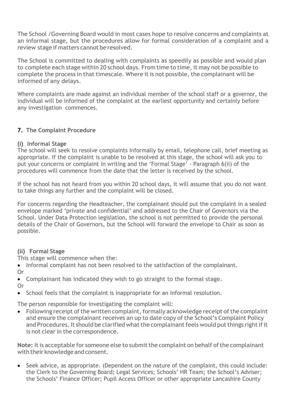The School /Governing Board would in most cases hope to resolve concerns and complaints at an informal stage, but the procedures allow for formal consideration of a complaint and a review stage if matters cannot be resolved.

The School is committed to dealing with complaints as speedily as possible and would plan to complete each stage within 20 school days. From time to time, it may not be possible to complete the process in that timescale. Where it is not possible, the complainant will be informed of any delays.

Where complaints are made against an individual member of the school staff or a governor, the individual will be informed of the complaint at the earliest opportunity and certainly before any investigation commences.

# **7. The Complaint Procedure**

# **(i) Informal Stage**

The school will seek to resolve complaints informally by email, telephone call, brief meeting as appropriate. If the complaint is unable to be resolved at this stage, the school will ask you to put your concerns or complaint in writing and the 'Formal Stage' - Paragraph 6(ii) of the procedures will commence from the date that the letter is received by the school.

If the school has not heard from you within 20 school days, it will assume that you do not want to take things any further and the complaint will be closed.

For concerns regarding the Headteacher, the complainant should put the complaint in a sealed envelope marked 'private and confidential' and addressed to the Chair of Governors via the School. Under Data Protection legislation, the school is not permitted to provide the personal details of the Chair of Governors, but the School will forward the envelope to Chair as soon as possible.

# **(ii) Formal Stage**

This stage will commence when the:

- Informal complaint has not been resolved to the satisfaction of the complainant.
- Or
- Complainant has indicated they wish to go straight to the formal stage.
- Or
- School feels that the complaint is inappropriate for an informal resolution.

The person responsible for investigating the complaint will:

 $\bullet$  Following receipt of the written complaint, formally acknowledge receipt of the complaint and ensure the complainant receives an up to date copy of the School's Complaint Policy and Procedures. It should be clarified what the complainant feels would put things right if it is not clear in the correspondence.

**Note:** It is acceptable for someone else to submit the complaint on behalf of the complainant with their knowledge and consent.

• Seek advice, as appropriate. (Dependent on the nature of the complaint, this could include: the Clerk to the Governing Board; Legal Services; Schools' HR Team; the School's Adviser; the Schools' Finance Officer; Pupil Access Officer or other appropriate Lancashire County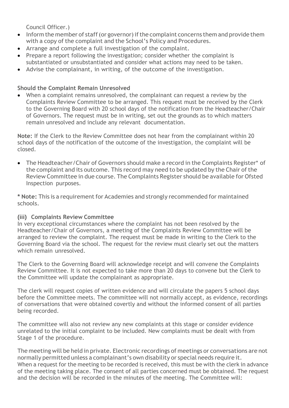Council Officer.)

- Inform the member of staff (or governor) if the complaint concerns them and provide them with a copy of the complaint and the School's Policy and Procedures.
- Arrange and complete a full investigation of the complaint.
- Prepare a report following the investigation; consider whether the complaint is substantiated or unsubstantiated and consider what actions may need to be taken.
- Advise the complainant, in writing, of the outcome of the investigation.

# **Should the Complaint Remain Unresolved**

• When a complaint remains unresolved, the complainant can request a review by the Complaints Review Committee to be arranged. This request must be received by the Clerk to the Governing Board with 20 school days of the notification from the Headteacher/Chair of Governors. The request must be in writing, set out the grounds as to which matters remain unresolved and include any relevant documentation.

**Note:** If the Clerk to the Review Committee does not hear from the complainant within 20 school days of the notification of the outcome of the investigation, the complaint will be closed.

• The Headteacher/Chair of Governors should make a record in the Complaints Register\* of the complaint and its outcome. This record may need to be updated by the Chair of the Review Committee in due course. The Complaints Register should be available for Ofsted Inspection purposes.

**\* Note:** This is a requirement for Academies and strongly recommended for maintained schools.

# **(iii) Complaints Review Committee**

In very exceptional circumstances where the complaint has not been resolved by the Headteacher/Chair of Governors, a meeting of the Complaints Review Committee will be arranged to review the complaint. The request must be made in writing to the Clerk to the Governing Board via the school. The request for the review must clearly set out the matters which remain unresolved.

The Clerk to the Governing Board will acknowledge receipt and will convene the Complaints Review Committee. It is not expected to take more than 20 days to convene but the Clerk to the Committee will update the complainant as appropriate.

The clerk will request copies of written evidence and will circulate the papers 5 school days before the Committee meets. The committee will not normally accept, as evidence, recordings of conversations that were obtained covertly and without the informed consent of all parties being recorded.

The committee will also not review any new complaints at this stage or consider evidence unrelated to the initial complaint to be included. New complaints must be dealt with from Stage 1 of the procedure.

The meeting will be held in private. Electronic recordings of meetings or conversations are not normally permitted unless a complainant's own disability or special needs require it. When a request for the meeting to be recorded is received, this must be with the clerk in advance of the meeting taking place. The consent of all parties concerned must be obtained. The request and the decision will be recorded in the minutes of the meeting. The Committee will: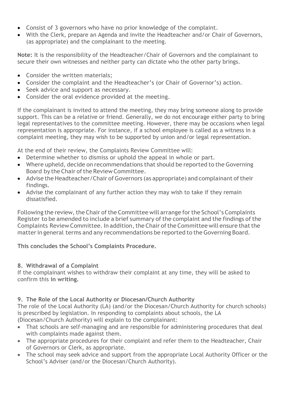- Consist of 3 governors who have no prior knowledge of the complaint.
- With the Clerk, prepare an Agenda and invite the Headteacher and/or Chair of Governors, (as appropriate) and the complainant to the meeting.

**Note:** It is the responsibility of the Headteacher/Chair of Governors and the complainant to secure their own witnesses and neither party can dictate who the other party brings.

- Consider the written materials;
- Consider the complaint and the Headteacher's (or Chair of Governor's) action.
- Seek advice and support as necessary.
- Consider the oral evidence provided at the meeting.

If the complainant is invited to attend the meeting, they may bring someone along to provide support. This can be a relative or friend. Generally, we do not encourage either party to bring legal representatives to the committee meeting. However, there may be occasions when legal representation is appropriate. For instance, if a school employee is called as a witness in a complaint meeting, they may wish to be supported by union and/or legal representation.

At the end of their review, the Complaints Review Committee will:

- Determine whether to dismiss or uphold the appeal in whole or part.
- Where upheld, decide on recommendations that should be reported to the Governing Board by the Chair of the Review Committee.
- Advise the Headteacher/Chair of Governors (as appropriate) and complainant of their findings.
- Advise the complainant of any further action they may wish to take if they remain dissatisfied.

Following the review, the Chair of the Committee will arrange for the School's Complaints Register to be amended to include a brief summary of the complaint and the findings of the Complaints Review Committee. In addition, the Chair of the Committee will ensure that the matter in general terms and any recommendations be reported to the Governing Board.

**This concludes the School's Complaints Procedure.**

# **8. Withdrawal of a Complaint**

If the complainant wishes to withdraw their complaint at any time, they will be asked to confirm this **in writing.**

# **9. The Role of the Local Authority or Diocesan/Church Authority**

The role of the Local Authority (LA) (and/or the Diocesan/Church Authority for church schools) is prescribed by legislation. In responding to complaints about schools, the LA (Diocesan/Church Authority) will explain to the complainant:

- That schools are self-managing and are responsible for administering procedures that deal with complaints made against them.
- The appropriate procedures for their complaint and refer them to the Headteacher, Chair of Governors or Clerk, as appropriate.
- The school may seek advice and support from the appropriate Local Authority Officer or the School's Adviser (and/or the Diocesan/Church Authority).